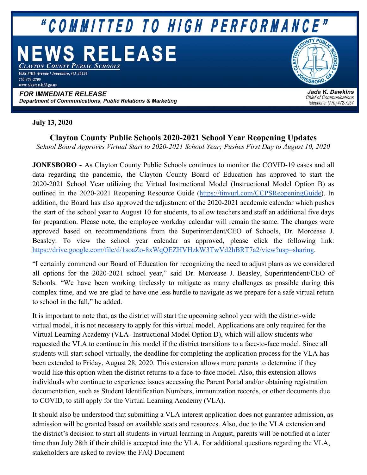# "COMMITTED TO HIGH PERFORMANCE"

# **S RELEASE**

AYTON COUNTY PUBLIC SCHOOLS 1058 Fifth Avenue | Jonesboro, GA 30236 770-473-2700 www.clayton.k12.ga.us

#### **FOR IMMEDIATE RELEASE** Department of Communications, Public Relations & Marketing

**ESBORO** 

Jada K. Dawkins **Chief of Communications** Telephone: (770) 472-7257

## **July 13, 2020**

**Clayton County Public Schools 2020-2021 School Year Reopening Updates** *School Board Approves Virtual Start to 2020-2021 School Year; Pushes First Day to August 10, 2020*

**JONESBORO -** As Clayton County Public Schools continues to monitor the COVID-19 cases and all data regarding the pandemic, the Clayton County Board of Education has approved to start the 2020-2021 School Year utilizing the Virtual Instructional Model (Instructional Model Option B) as outlined in the 2020-2021 Reopening Resource Guide [\(https://tinyurl.com/CCPSReopeningGuide](https://tinyurl.com/CCPSReopeningGuide)). In addition, the Board has also approved the adjustment of the 2020-2021 academic calendar which pushes the start of the school year to August 10 for students, to allow teachers and staff an additional five days for preparation. Please note, the employee workday calendar will remain the same. The changes were approved based on recommendations from the Superintendent/CEO of Schools, Dr. Morcease J. Beasley. To view the school year calendar as approved, please click the following link: <https://drive.google.com/file/d/1soaZo-8xWqQEZHVHzkW3TwVd2hBRT7a2/view?usp=sharing>.

"I certainly commend our Board of Education for recognizing the need to adjust plans as we considered all options for the 2020-2021 school year," said Dr. Morcease J. Beasley, Superintendent/CEO of Schools. "We have been working tirelessly to mitigate as many challenges as possible during this complex time, and we are glad to have one less hurdle to navigate as we prepare for a safe virtual return to school in the fall," he added.

It is important to note that, as the district will start the upcoming school year with the district-wide virtual model, it is not necessary to apply for this virtual model. Applications are only required for the Virtual Learning Academy (VLA- Instructional Model Option D), which will allow students who requested the VLA to continue in this model if the district transitions to a face-to-face model. Since all students will start school virtually, the deadline for completing the application process for the VLA has been extended to Friday, August 28, 2020. This extension allows more parents to determine if they would like this option when the district returns to a face-to-face model. Also, this extension allows individuals who continue to experience issues accessing the Parent Portal and/or obtaining registration documentation, such as Student Identification Numbers, immunization records, or other documents due to COVID, to still apply for the Virtual Learning Academy (VLA).

It should also be understood that submitting a VLA interest application does not guarantee admission, as admission will be granted based on available seats and resources. Also, due to the VLA extension and the district's decision to start all students in virtual learning in August, parents will be notified at a later time than July 28th if their child is accepted into the VLA. For additional questions regarding the VLA, stakeholders are asked to review the FAQ Document